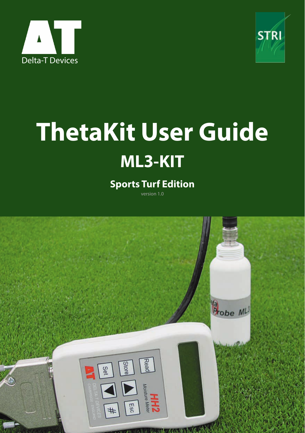



# **ThetaKit User Guide ML3-KIT**

#### **Sports Turf Edition**

version 1.0

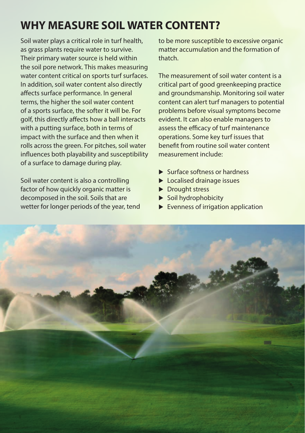## **WHY MEASURE SOIL WATER CONTENT?**

Soil water plays a critical role in turf health, as grass plants require water to survive. Their primary water source is held within the soil pore network. This makes measuring water content critical on sports turf surfaces. In addition, soil water content also directly affects surface performance. In general terms, the higher the soil water content of a sports surface, the softer it will be. For golf, this directly affects how a ball interacts with a putting surface, both in terms of impact with the surface and then when it rolls across the green. For pitches, soil water influences both playability and susceptibility of a surface to damage during play.

Soil water content is also a controlling factor of how quickly organic matter is decomposed in the soil. Soils that are wetter for longer periods of the year, tend to be more susceptible to excessive organic matter accumulation and the formation of thatch.

The measurement of soil water content is a critical part of good greenkeeping practice and groundsmanship. Monitoring soil water content can alert turf managers to potential problems before visual symptoms become evident. It can also enable managers to assess the efficacy of turf maintenance operations. Some key turf issues that benefit from routine soil water content measurement include:

- Surface softness or hardness
- **Localised drainage issues**
- **Drought stress**
- $\triangleright$  Soil hydrophobicity
- $\blacktriangleright$  Evenness of irrigation application

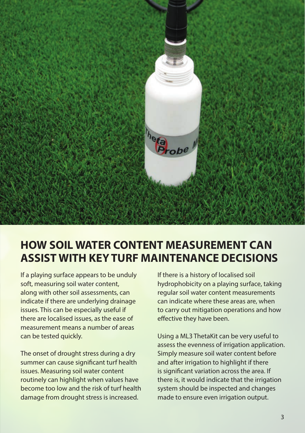

### **HOW SOIL WATER CONTENT MEASUREMENT CAN ASSIST WITH KEY TURF MAINTENANCE DECISIONS**

If a playing surface appears to be unduly soft, measuring soil water content, along with other soil assessments, can indicate if there are underlying drainage issues. This can be especially useful if there are localised issues, as the ease of measurement means a number of areas can be tested quickly.

The onset of drought stress during a dry summer can cause significant turf health issues. Measuring soil water content routinely can highlight when values have become too low and the risk of turf health damage from drought stress is increased.

If there is a history of localised soil hydrophobicity on a playing surface, taking regular soil water content measurements can indicate where these areas are, when to carry out mitigation operations and how effective they have been.

Using a ML3 ThetaKit can be very useful to assess the evenness of irrigation application. Simply measure soil water content before and after irrigation to highlight if there is significant variation across the area. If there is, it would indicate that the irrigation system should be inspected and changes made to ensure even irrigation output.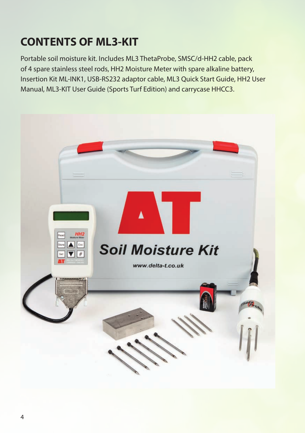## **CONTENTS OF ML3-KIT**

Portable soil moisture kit. Includes ML3 ThetaProbe, SMSC/d-HH2 cable, pack of 4 spare stainless steel rods, HH2 Moisture Meter with spare alkaline battery, Insertion Kit ML-INK1, USB-RS232 adaptor cable, ML3 Quick Start Guide, HH2 User Manual, ML3-KIT User Guide (Sports Turf Edition) and carrycase HHCC3.

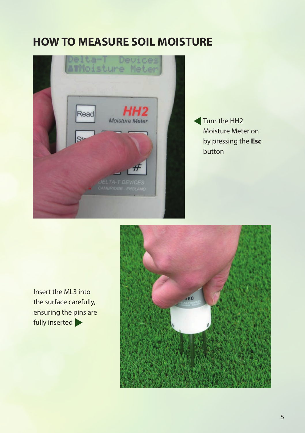## **HOW TO MEASURE SOIL MOISTURE**



Turn the HH<sub>2</sub> Moisture Meter on by pressing the **Esc** button

Insert the ML3 into the surface carefully, ensuring the pins are fully inserted  $\blacktriangleright$ 

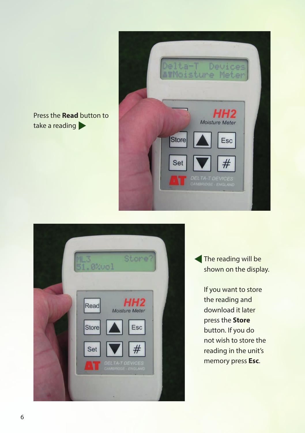Press the **Read** button to take a reading





The reading will be shown on the display.

> If you want to store the reading and download it later press the **Store** button. If you do not wish to store the reading in the unit's memory press **Esc**.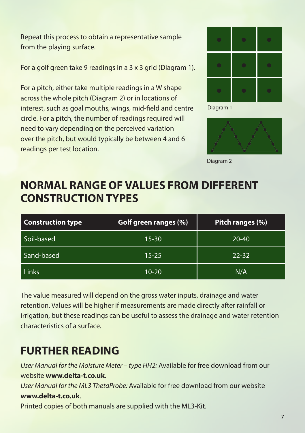Repeat this process to obtain a representative sample from the playing surface.

For a golf green take 9 readings in a 3 x 3 grid (Diagram 1).

For a pitch, either take multiple readings in a W shape across the whole pitch (Diagram 2) or in locations of interest, such as goal mouths, wings, mid-field and centre circle. For a pitch, the number of readings required will need to vary depending on the perceived variation over the pitch, but would typically be between 4 and 6 readings per test location.



Diagram 1



Diagram 2

### **NORMAL RANGE OF VALUES FROM DIFFERENT CONSTRUCTION TYPES**

| <b>Construction type</b> | Golf green ranges (%) | Pitch ranges (%) |
|--------------------------|-----------------------|------------------|
| Soil-based               | $15 - 30$             | $20 - 40$        |
| Sand-based               | $15 - 25$             | $22 - 32$        |
| Links                    | $10 - 20$             | N/A              |

The value measured will depend on the gross water inputs, drainage and water retention. Values will be higher if measurements are made directly after rainfall or irrigation, but these readings can be useful to assess the drainage and water retention characteristics of a surface.

## **FURTHER READING**

*User Manual for the Moisture Meter – type HH2:* Available for free download from our website **www.delta-t.co.uk**. *User Manual for the ML3 ThetaProbe:* Available for free download from our website **www.delta-t.co.uk**. Printed copies of both manuals are supplied with the ML3-Kit.